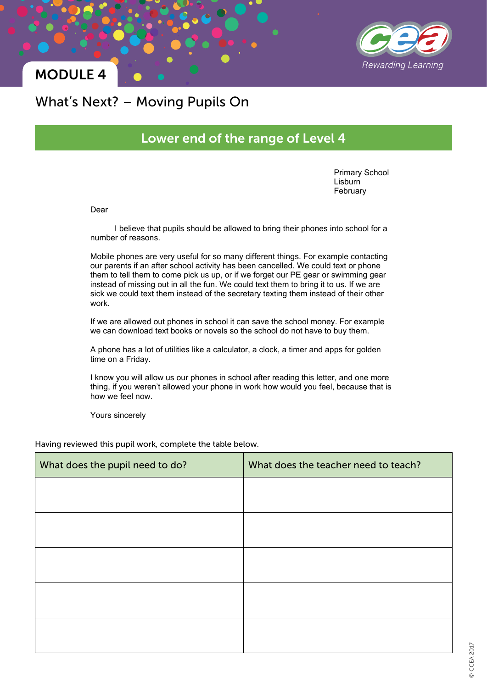

### MODULE 4

#### What's Next? – Moving Pupils On

#### Lower end of the range of Level 4

Primary School **Lisburn** February

Dear

I believe that pupils should be allowed to bring their phones into school for a number of reasons.

Mobile phones are very useful for so many different things. For example contacting our parents if an after school activity has been cancelled. We could text or phone them to tell them to come pick us up, or if we forget our PE gear or swimming gear instead of missing out in all the fun. We could text them to bring it to us. If we are sick we could text them instead of the secretary texting them instead of their other work.

If we are allowed out phones in school it can save the school money. For example we can download text books or novels so the school do not have to buy them.

A phone has a lot of utilities like a calculator, a clock, a timer and apps for golden time on a Friday.

I know you will allow us our phones in school after reading this letter, and one more thing, if you weren't allowed your phone in work how would you feel, because that is how we feel now.

Yours sincerely

Having reviewed this pupil work, complete the table below.

| What does the pupil need to do? | What does the teacher need to teach? |
|---------------------------------|--------------------------------------|
|                                 |                                      |
|                                 |                                      |
|                                 |                                      |
|                                 |                                      |
|                                 |                                      |
|                                 |                                      |
|                                 |                                      |
|                                 |                                      |
|                                 |                                      |
|                                 |                                      |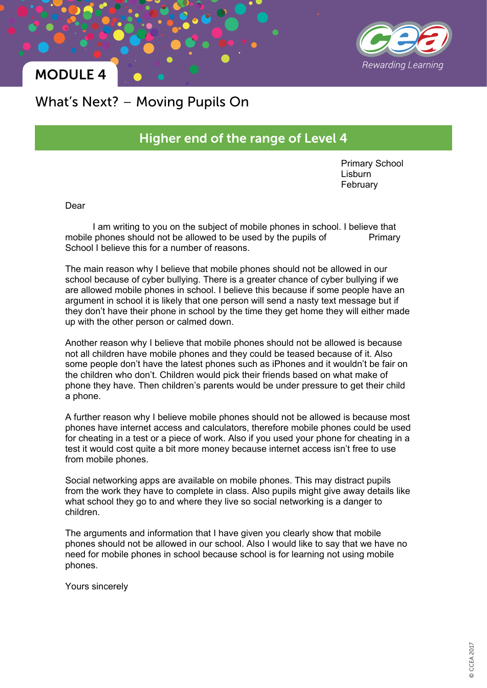

### MODULE 4

### What's Next? – Moving Pupils On

#### Higher end of the range of Level 4

Primary School Lisburn February

Dear

I am writing to you on the subject of mobile phones in school. I believe that mobile phones should not be allowed to be used by the pupils of Primary School I believe this for a number of reasons.

The main reason why I believe that mobile phones should not be allowed in our school because of cyber bullying. There is a greater chance of cyber bullying if we are allowed mobile phones in school. I believe this because if some people have an argument in school it is likely that one person will send a nasty text message but if they don't have their phone in school by the time they get home they will either made up with the other person or calmed down.

Another reason why I believe that mobile phones should not be allowed is because not all children have mobile phones and they could be teased because of it. Also some people don't have the latest phones such as iPhones and it wouldn't be fair on the children who don't. Children would pick their friends based on what make of phone they have. Then children's parents would be under pressure to get their child a phone.

A further reason why I believe mobile phones should not be allowed is because most phones have internet access and calculators, therefore mobile phones could be used for cheating in a test or a piece of work. Also if you used your phone for cheating in a test it would cost quite a bit more money because internet access isn't free to use from mobile phones.

Social networking apps are available on mobile phones. This may distract pupils from the work they have to complete in class. Also pupils might give away details like what school they go to and where they live so social networking is a danger to children.

The arguments and information that I have given you clearly show that mobile phones should not be allowed in our school. Also I would like to say that we have no need for mobile phones in school because school is for learning not using mobile phones.

Yours sincerely